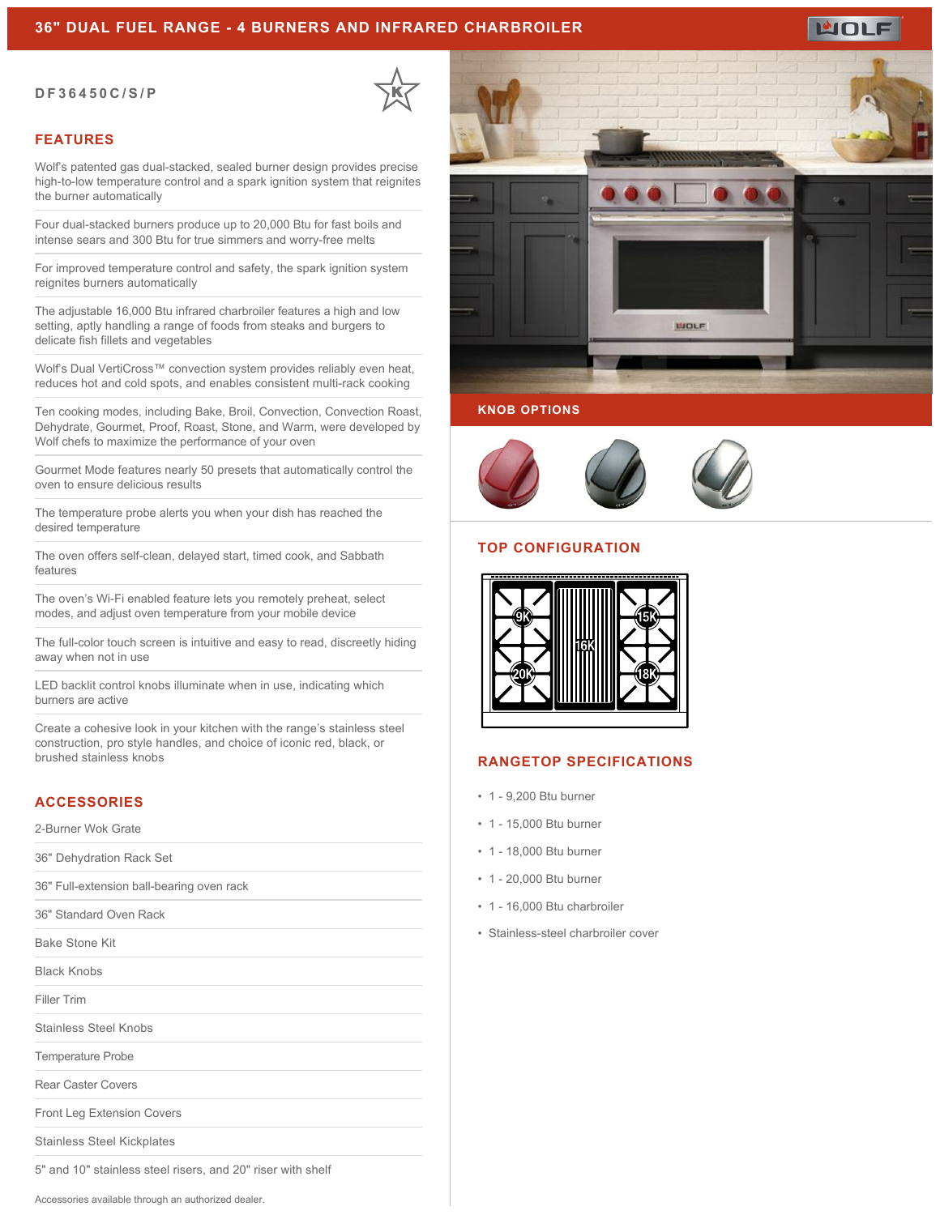### **36" DUAL FUEL RANGE - 4 BURNERS AND INFRARED CHARBROILER**

#### **DF36450C/S/P**



#### **FEATURES**

Wolf's patented gas dual-stacked, sealed burner design provides precise high-to-low temperature control and a spark ignition system that reignites the burner automatically

Four dual-stacked burners produce up to 20,000 Btu for fast boils and intense sears and 300 Btu for true simmers and worry-free melts

For improved temperature control and safety, the spark ignition system reignites burners automatically

The adjustable 16,000 Btu infrared charbroiler features a high and low setting, aptly handling a range of foods from steaks and burgers to delicate fish fillets and vegetables

Wolf's Dual VertiCross™ convection system provides reliably even heat, reduces hot and cold spots, and enables consistent multi-rack cooking

Ten cooking modes, including Bake, Broil, Convection, Convection Roast, Dehydrate, Gourmet, Proof, Roast, Stone, and Warm, were developed by Wolf chefs to maximize the performance of your oven

Gourmet Mode features nearly 50 presets that automatically control the oven to ensure delicious results

The temperature probe alerts you when your dish has reached the desired temperature

The oven offers self-clean, delayed start, timed cook, and Sabbath features

The oven's Wi-Fi enabled feature lets you remotely preheat, select modes, and adjust oven temperature from your mobile device

The full-color touch screen is intuitive and easy to read, discreetly hiding away when not in use

LED backlit control knobs illuminate when in use, indicating which burners are active

Create a cohesive look in your kitchen with the range's stainless steel construction, pro style handles, and choice of iconic red, black, or brushed stainless knobs

# **ACCESSORIES**

2-Burner Wok Grate

36" Dehydration Rack Set

36" Full-extension ball-bearing oven rack

36" Standard Oven Rack

Bake Stone Kit

Black Knobs

Filler Trim

Stainless Steel Knobs

Temperature Probe

Rear Caster Covers

Front Leg Extension Covers

Stainless Steel Kickplates

5" and 10" stainless steel risers, and 20" riser with shelf

Accessories available through an authorized dealer.



#### **KNOB OPTIONS**



### **TOP CONFIGURATION**



#### **RANGETOP SPECIFICATIONS**

- 1 9,200 Btu burner
- 1 15,000 Btu burner
- 1 18,000 Btu burner
- 1 20,000 Btu burner
- 1 16,000 Btu charbroiler
- Stainless-steel charbroiler cover

MOLE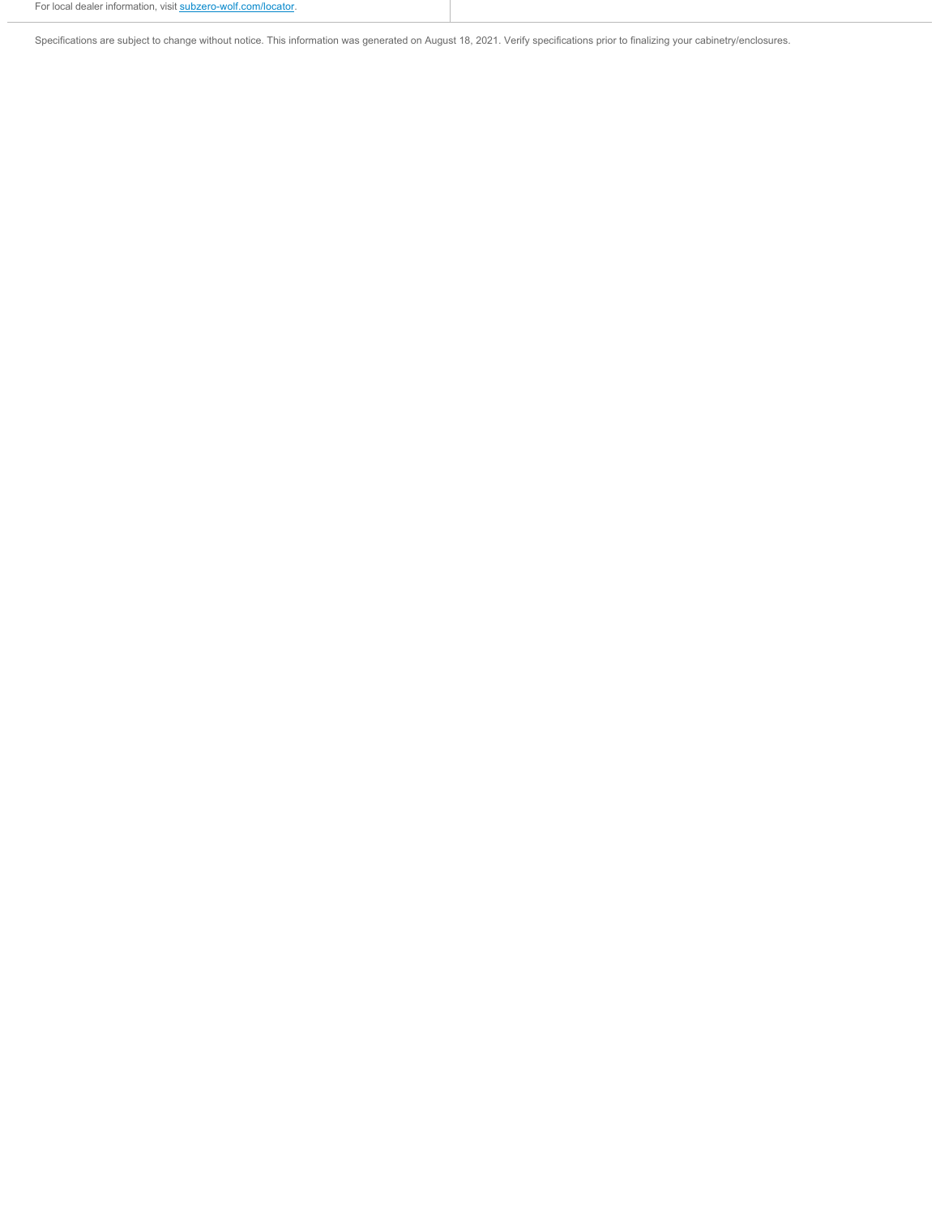Specifications are subject to change without notice. This information was generated on August 18, 2021. Verify specifications prior to finalizing your cabinetry/enclosures.